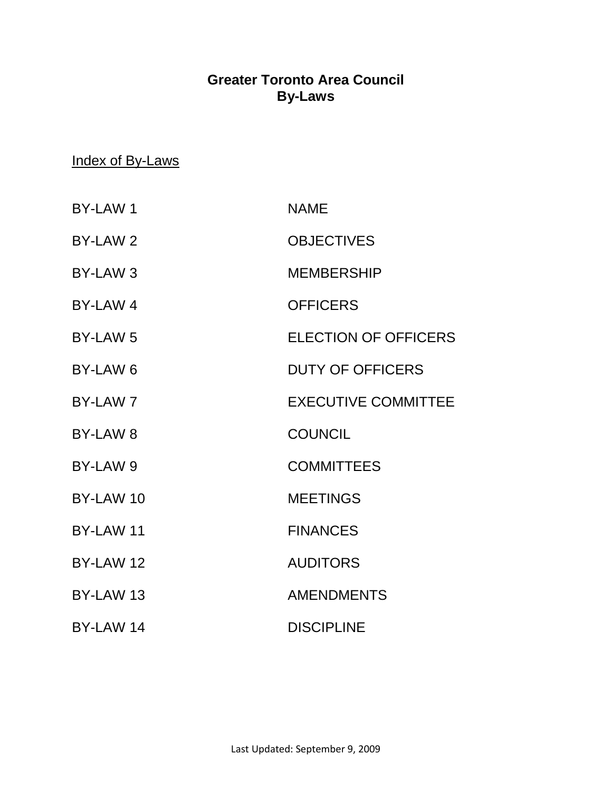## **Greater Toronto Area Council By-Laws**

### Index of By-Laws

| <b>BY-LAW1</b>      | <b>NAME</b>                 |
|---------------------|-----------------------------|
| BY-LAW 2            | <b>OBJECTIVES</b>           |
| BY-LAW <sub>3</sub> | <b>MEMBERSHIP</b>           |
| BY-LAW 4            | <b>OFFICERS</b>             |
| BY-LAW <sub>5</sub> | <b>ELECTION OF OFFICERS</b> |
| BY-LAW <sub>6</sub> | <b>DUTY OF OFFICERS</b>     |
| BY-LAW 7            | <b>EXECUTIVE COMMITTEE</b>  |
| BY-LAW <sub>8</sub> | <b>COUNCIL</b>              |
| BY-LAW 9            | <b>COMMITTEES</b>           |
| BY-LAW 10           | <b>MEETINGS</b>             |
| BY-LAW 11           | <b>FINANCES</b>             |
| BY-LAW 12           | <b>AUDITORS</b>             |
| BY-LAW 13           | <b>AMENDMENTS</b>           |
| BY-LAW 14           | <b>DISCIPLINE</b>           |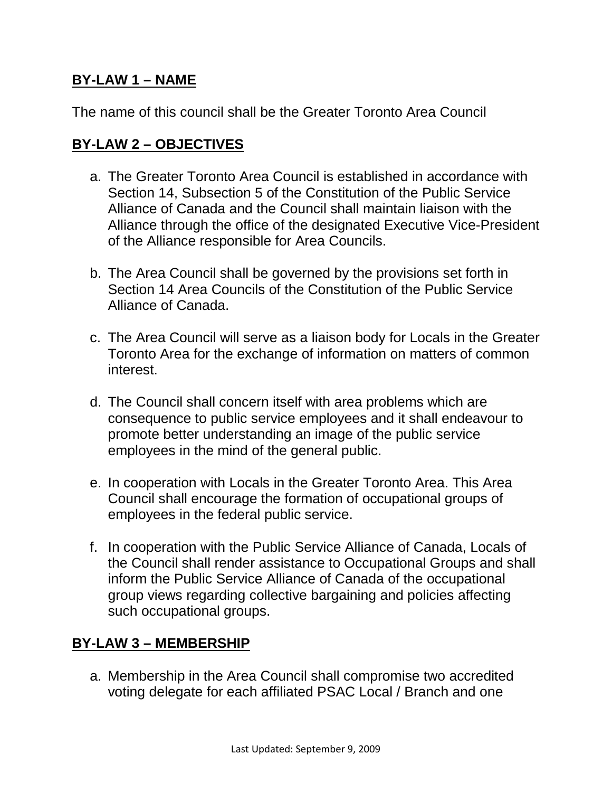### **BY-LAW 1 – NAME**

The name of this council shall be the Greater Toronto Area Council

#### **BY-LAW 2 – OBJECTIVES**

- a. The Greater Toronto Area Council is established in accordance with Section 14, Subsection 5 of the Constitution of the Public Service Alliance of Canada and the Council shall maintain liaison with the Alliance through the office of the designated Executive Vice-President of the Alliance responsible for Area Councils.
- b. The Area Council shall be governed by the provisions set forth in Section 14 Area Councils of the Constitution of the Public Service Alliance of Canada.
- c. The Area Council will serve as a liaison body for Locals in the Greater Toronto Area for the exchange of information on matters of common interest.
- d. The Council shall concern itself with area problems which are consequence to public service employees and it shall endeavour to promote better understanding an image of the public service employees in the mind of the general public.
- e. In cooperation with Locals in the Greater Toronto Area. This Area Council shall encourage the formation of occupational groups of employees in the federal public service.
- f. In cooperation with the Public Service Alliance of Canada, Locals of the Council shall render assistance to Occupational Groups and shall inform the Public Service Alliance of Canada of the occupational group views regarding collective bargaining and policies affecting such occupational groups.

### **BY-LAW 3 – MEMBERSHIP**

a. Membership in the Area Council shall compromise two accredited voting delegate for each affiliated PSAC Local / Branch and one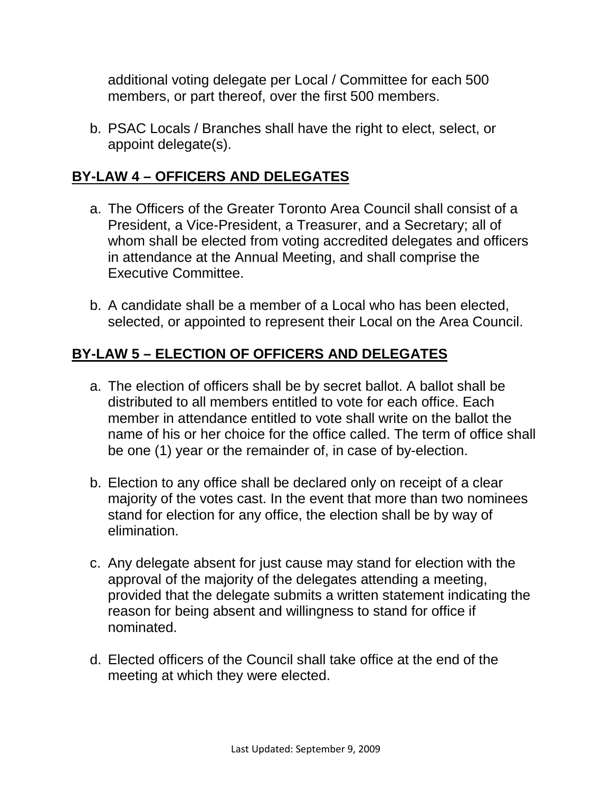additional voting delegate per Local / Committee for each 500 members, or part thereof, over the first 500 members.

b. PSAC Locals / Branches shall have the right to elect, select, or appoint delegate(s).

## **BY-LAW 4 – OFFICERS AND DELEGATES**

- a. The Officers of the Greater Toronto Area Council shall consist of a President, a Vice-President, a Treasurer, and a Secretary; all of whom shall be elected from voting accredited delegates and officers in attendance at the Annual Meeting, and shall comprise the Executive Committee.
- b. A candidate shall be a member of a Local who has been elected, selected, or appointed to represent their Local on the Area Council.

# **BY-LAW 5 – ELECTION OF OFFICERS AND DELEGATES**

- a. The election of officers shall be by secret ballot. A ballot shall be distributed to all members entitled to vote for each office. Each member in attendance entitled to vote shall write on the ballot the name of his or her choice for the office called. The term of office shall be one (1) year or the remainder of, in case of by-election.
- b. Election to any office shall be declared only on receipt of a clear majority of the votes cast. In the event that more than two nominees stand for election for any office, the election shall be by way of elimination.
- c. Any delegate absent for just cause may stand for election with the approval of the majority of the delegates attending a meeting, provided that the delegate submits a written statement indicating the reason for being absent and willingness to stand for office if nominated.
- d. Elected officers of the Council shall take office at the end of the meeting at which they were elected.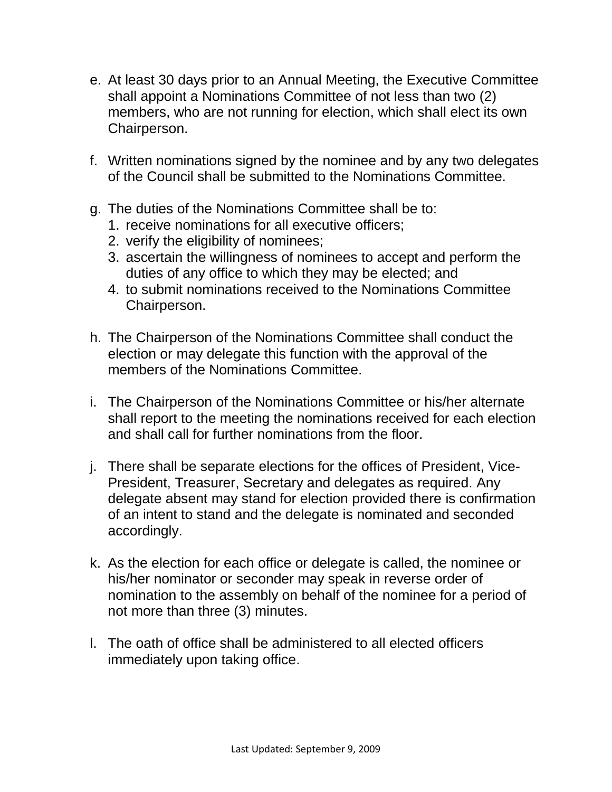- e. At least 30 days prior to an Annual Meeting, the Executive Committee shall appoint a Nominations Committee of not less than two (2) members, who are not running for election, which shall elect its own Chairperson.
- f. Written nominations signed by the nominee and by any two delegates of the Council shall be submitted to the Nominations Committee.
- g. The duties of the Nominations Committee shall be to:
	- 1. receive nominations for all executive officers;
	- 2. verify the eligibility of nominees;
	- 3. ascertain the willingness of nominees to accept and perform the duties of any office to which they may be elected; and
	- 4. to submit nominations received to the Nominations Committee Chairperson.
- h. The Chairperson of the Nominations Committee shall conduct the election or may delegate this function with the approval of the members of the Nominations Committee.
- i. The Chairperson of the Nominations Committee or his/her alternate shall report to the meeting the nominations received for each election and shall call for further nominations from the floor.
- j. There shall be separate elections for the offices of President, Vice-President, Treasurer, Secretary and delegates as required. Any delegate absent may stand for election provided there is confirmation of an intent to stand and the delegate is nominated and seconded accordingly.
- k. As the election for each office or delegate is called, the nominee or his/her nominator or seconder may speak in reverse order of nomination to the assembly on behalf of the nominee for a period of not more than three (3) minutes.
- l. The oath of office shall be administered to all elected officers immediately upon taking office.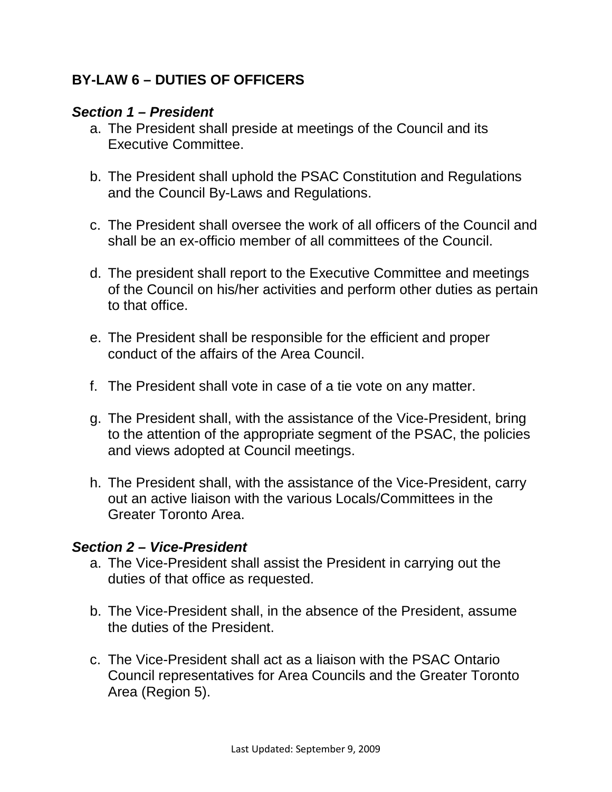## **BY-LAW 6 – DUTIES OF OFFICERS**

#### *Section 1 – President*

- a. The President shall preside at meetings of the Council and its Executive Committee.
- b. The President shall uphold the PSAC Constitution and Regulations and the Council By-Laws and Regulations.
- c. The President shall oversee the work of all officers of the Council and shall be an ex-officio member of all committees of the Council.
- d. The president shall report to the Executive Committee and meetings of the Council on his/her activities and perform other duties as pertain to that office.
- e. The President shall be responsible for the efficient and proper conduct of the affairs of the Area Council.
- f. The President shall vote in case of a tie vote on any matter.
- g. The President shall, with the assistance of the Vice-President, bring to the attention of the appropriate segment of the PSAC, the policies and views adopted at Council meetings.
- h. The President shall, with the assistance of the Vice-President, carry out an active liaison with the various Locals/Committees in the Greater Toronto Area.

#### *Section 2 – Vice-President*

- a. The Vice-President shall assist the President in carrying out the duties of that office as requested.
- b. The Vice-President shall, in the absence of the President, assume the duties of the President.
- c. The Vice-President shall act as a liaison with the PSAC Ontario Council representatives for Area Councils and the Greater Toronto Area (Region 5).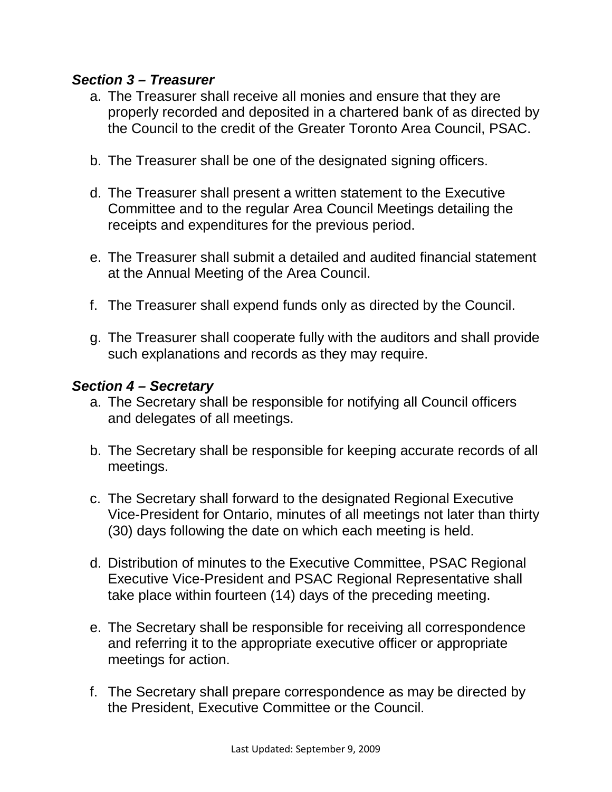#### *Section 3 – Treasurer*

- a. The Treasurer shall receive all monies and ensure that they are properly recorded and deposited in a chartered bank of as directed by the Council to the credit of the Greater Toronto Area Council, PSAC.
- b. The Treasurer shall be one of the designated signing officers.
- d. The Treasurer shall present a written statement to the Executive Committee and to the regular Area Council Meetings detailing the receipts and expenditures for the previous period.
- e. The Treasurer shall submit a detailed and audited financial statement at the Annual Meeting of the Area Council.
- f. The Treasurer shall expend funds only as directed by the Council.
- g. The Treasurer shall cooperate fully with the auditors and shall provide such explanations and records as they may require.

#### *Section 4 – Secretary*

- a. The Secretary shall be responsible for notifying all Council officers and delegates of all meetings.
- b. The Secretary shall be responsible for keeping accurate records of all meetings.
- c. The Secretary shall forward to the designated Regional Executive Vice-President for Ontario, minutes of all meetings not later than thirty (30) days following the date on which each meeting is held.
- d. Distribution of minutes to the Executive Committee, PSAC Regional Executive Vice-President and PSAC Regional Representative shall take place within fourteen (14) days of the preceding meeting.
- e. The Secretary shall be responsible for receiving all correspondence and referring it to the appropriate executive officer or appropriate meetings for action.
- f. The Secretary shall prepare correspondence as may be directed by the President, Executive Committee or the Council.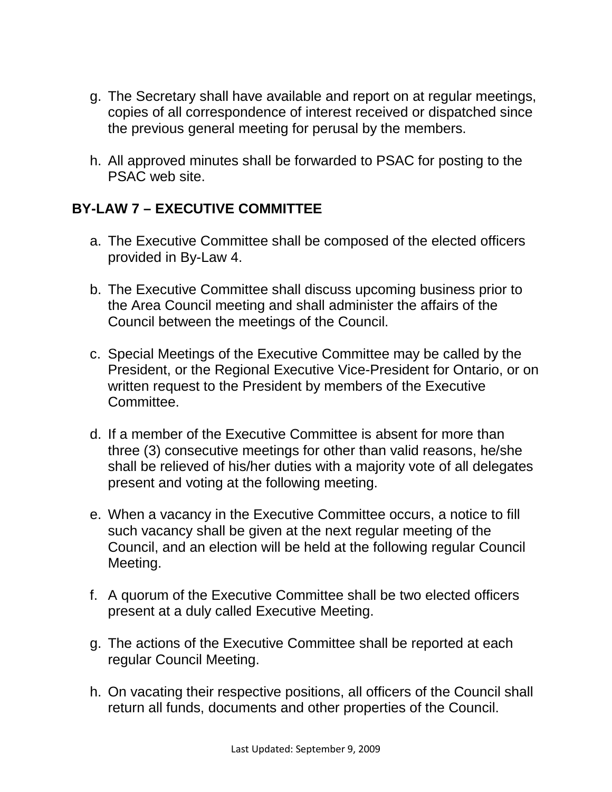- g. The Secretary shall have available and report on at regular meetings, copies of all correspondence of interest received or dispatched since the previous general meeting for perusal by the members.
- h. All approved minutes shall be forwarded to PSAC for posting to the PSAC web site.

### **BY-LAW 7 – EXECUTIVE COMMITTEE**

- a. The Executive Committee shall be composed of the elected officers provided in By-Law 4.
- b. The Executive Committee shall discuss upcoming business prior to the Area Council meeting and shall administer the affairs of the Council between the meetings of the Council.
- c. Special Meetings of the Executive Committee may be called by the President, or the Regional Executive Vice-President for Ontario, or on written request to the President by members of the Executive Committee.
- d. If a member of the Executive Committee is absent for more than three (3) consecutive meetings for other than valid reasons, he/she shall be relieved of his/her duties with a majority vote of all delegates present and voting at the following meeting.
- e. When a vacancy in the Executive Committee occurs, a notice to fill such vacancy shall be given at the next regular meeting of the Council, and an election will be held at the following regular Council Meeting.
- f. A quorum of the Executive Committee shall be two elected officers present at a duly called Executive Meeting.
- g. The actions of the Executive Committee shall be reported at each regular Council Meeting.
- h. On vacating their respective positions, all officers of the Council shall return all funds, documents and other properties of the Council.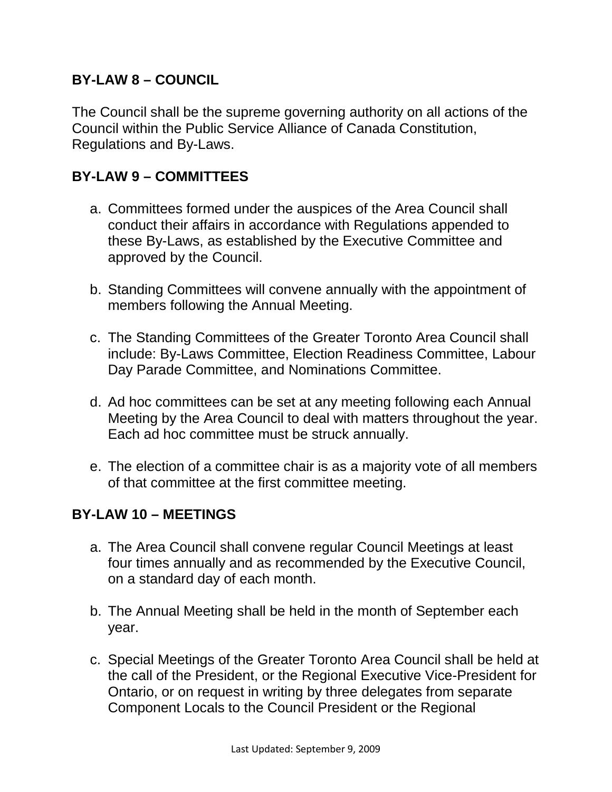### **BY-LAW 8 – COUNCIL**

The Council shall be the supreme governing authority on all actions of the Council within the Public Service Alliance of Canada Constitution, Regulations and By-Laws.

#### **BY-LAW 9 – COMMITTEES**

- a. Committees formed under the auspices of the Area Council shall conduct their affairs in accordance with Regulations appended to these By-Laws, as established by the Executive Committee and approved by the Council.
- b. Standing Committees will convene annually with the appointment of members following the Annual Meeting.
- c. The Standing Committees of the Greater Toronto Area Council shall include: By-Laws Committee, Election Readiness Committee, Labour Day Parade Committee, and Nominations Committee.
- d. Ad hoc committees can be set at any meeting following each Annual Meeting by the Area Council to deal with matters throughout the year. Each ad hoc committee must be struck annually.
- e. The election of a committee chair is as a majority vote of all members of that committee at the first committee meeting.

#### **BY-LAW 10 – MEETINGS**

- a. The Area Council shall convene regular Council Meetings at least four times annually and as recommended by the Executive Council, on a standard day of each month.
- b. The Annual Meeting shall be held in the month of September each year.
- c. Special Meetings of the Greater Toronto Area Council shall be held at the call of the President, or the Regional Executive Vice-President for Ontario, or on request in writing by three delegates from separate Component Locals to the Council President or the Regional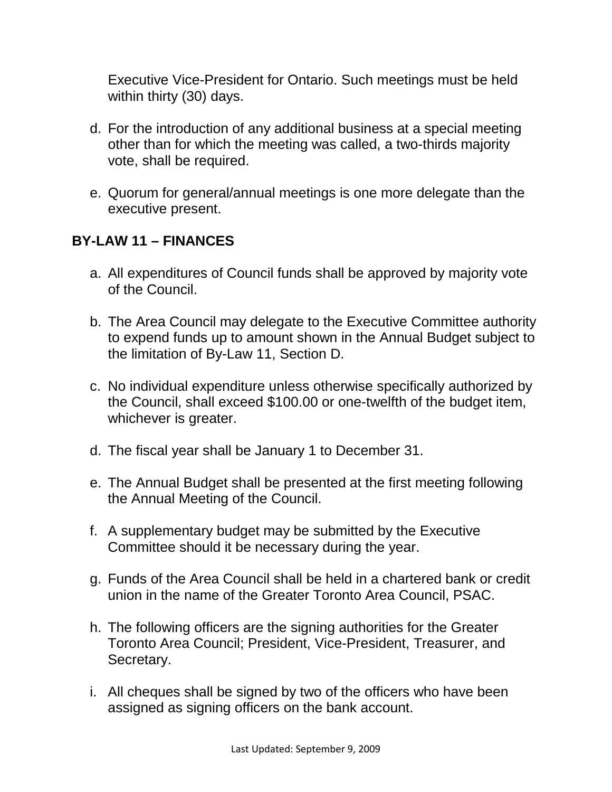Executive Vice-President for Ontario. Such meetings must be held within thirty (30) days.

- d. For the introduction of any additional business at a special meeting other than for which the meeting was called, a two-thirds majority vote, shall be required.
- e. Quorum for general/annual meetings is one more delegate than the executive present.

### **BY-LAW 11 – FINANCES**

- a. All expenditures of Council funds shall be approved by majority vote of the Council.
- b. The Area Council may delegate to the Executive Committee authority to expend funds up to amount shown in the Annual Budget subject to the limitation of By-Law 11, Section D.
- c. No individual expenditure unless otherwise specifically authorized by the Council, shall exceed \$100.00 or one-twelfth of the budget item, whichever is greater.
- d. The fiscal year shall be January 1 to December 31.
- e. The Annual Budget shall be presented at the first meeting following the Annual Meeting of the Council.
- f. A supplementary budget may be submitted by the Executive Committee should it be necessary during the year.
- g. Funds of the Area Council shall be held in a chartered bank or credit union in the name of the Greater Toronto Area Council, PSAC.
- h. The following officers are the signing authorities for the Greater Toronto Area Council; President, Vice-President, Treasurer, and Secretary.
- i. All cheques shall be signed by two of the officers who have been assigned as signing officers on the bank account.